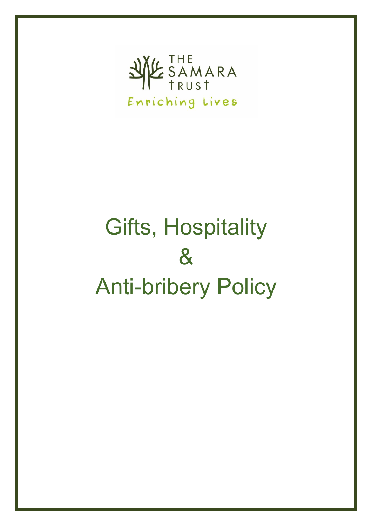

# Gifts, Hospitality & Anti-bribery Policy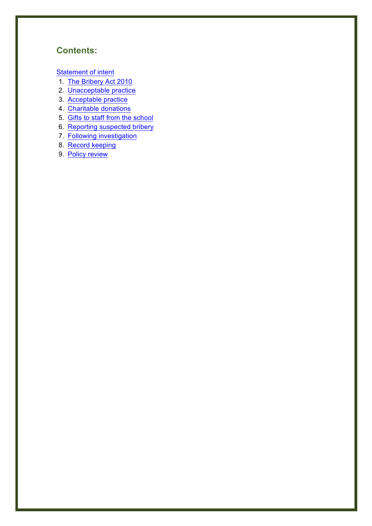# **Contents:**

Statement of intent

- 1. The Bribery Act 2010
- 2. Unacceptable practice
- 3. Acceptable practice
- 4. Charitable donations
- 5. Gifts to staff from the school
- 6. Reporting suspected bribery
- 7. Following investigation
- 8. Record keeping
- 9. Policy review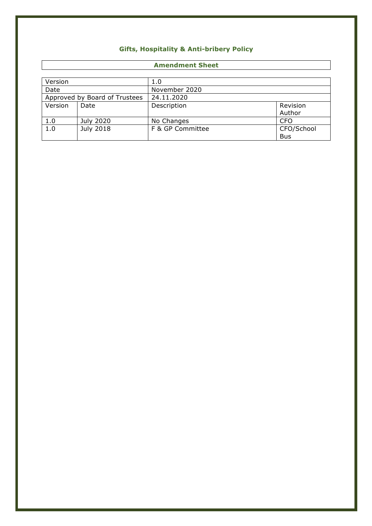## **Gifts, Hospitality & Anti-bribery Policy**

#### **Amendment Sheet**

| Version                       |           | 1.0              |            |
|-------------------------------|-----------|------------------|------------|
| Date                          |           | November 2020    |            |
| Approved by Board of Trustees |           | 24.11.2020       |            |
| Version                       | Date      | Description      | Revision   |
|                               |           |                  | Author     |
| 1.0                           | July 2020 | No Changes       | <b>CFO</b> |
| 1.0                           | July 2018 | F & GP Committee | CFO/School |
|                               |           |                  | <b>Bus</b> |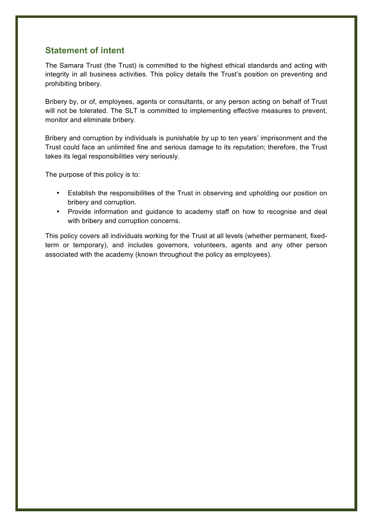## **Statement of intent**

The Samara Trust (the Trust) is committed to the highest ethical standards and acting with integrity in all business activities. This policy details the Trust's position on preventing and prohibiting bribery.

Bribery by, or of, employees, agents or consultants, or any person acting on behalf of Trust will not be tolerated. The SLT is committed to implementing effective measures to prevent, monitor and eliminate bribery.

Bribery and corruption by individuals is punishable by up to ten years' imprisonment and the Trust could face an unlimited fine and serious damage to its reputation; therefore, the Trust takes its legal responsibilities very seriously.

The purpose of this policy is to:

- Establish the responsibilities of the Trust in observing and upholding our position on bribery and corruption.
- Provide information and guidance to academy staff on how to recognise and deal with bribery and corruption concerns.

This policy covers all individuals working for the Trust at all levels (whether permanent, fixedterm or temporary), and includes governors, volunteers, agents and any other person associated with the academy (known throughout the policy as employees).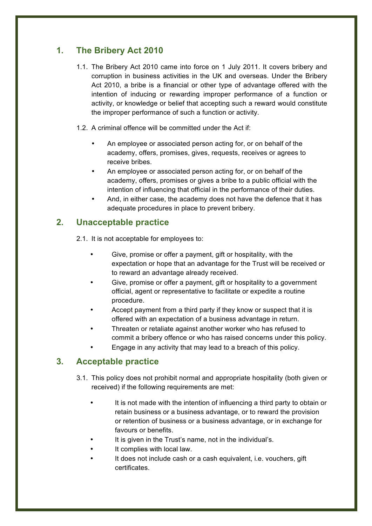# **1. The Bribery Act 2010**

- 1.1. The Bribery Act 2010 came into force on 1 July 2011. It covers bribery and corruption in business activities in the UK and overseas. Under the Bribery Act 2010, a bribe is a financial or other type of advantage offered with the intention of inducing or rewarding improper performance of a function or activity, or knowledge or belief that accepting such a reward would constitute the improper performance of such a function or activity.
- 1.2. A criminal offence will be committed under the Act if:
	- An employee or associated person acting for, or on behalf of the academy, offers, promises, gives, requests, receives or agrees to receive bribes.
	- An employee or associated person acting for, or on behalf of the academy, offers, promises or gives a bribe to a public official with the intention of influencing that official in the performance of their duties.
	- And, in either case, the academy does not have the defence that it has adequate procedures in place to prevent bribery.

## **2. Unacceptable practice**

2.1. It is not acceptable for employees to:

- Give, promise or offer a payment, gift or hospitality, with the expectation or hope that an advantage for the Trust will be received or to reward an advantage already received.
- Give, promise or offer a payment, gift or hospitality to a government official, agent or representative to facilitate or expedite a routine procedure.
- Accept payment from a third party if they know or suspect that it is offered with an expectation of a business advantage in return.
- Threaten or retaliate against another worker who has refused to commit a bribery offence or who has raised concerns under this policy.
- Engage in any activity that may lead to a breach of this policy.

## **3. Acceptable practice**

- 3.1. This policy does not prohibit normal and appropriate hospitality (both given or received) if the following requirements are met:
	- It is not made with the intention of influencing a third party to obtain or retain business or a business advantage, or to reward the provision or retention of business or a business advantage, or in exchange for favours or benefits.
	- It is given in the Trust's name, not in the individual's.
	- It complies with local law.
	- It does not include cash or a cash equivalent, i.e. vouchers, gift certificates.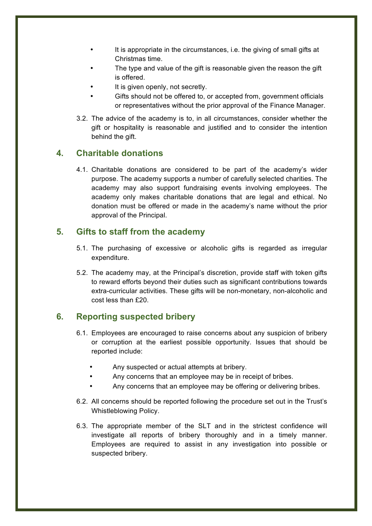- It is appropriate in the circumstances, i.e. the giving of small gifts at Christmas time.
- The type and value of the gift is reasonable given the reason the gift is offered.
- It is given openly, not secretly.
- Gifts should not be offered to, or accepted from, government officials or representatives without the prior approval of the Finance Manager.
- 3.2. The advice of the academy is to, in all circumstances, consider whether the gift or hospitality is reasonable and justified and to consider the intention behind the gift.

### **4. Charitable donations**

4.1. Charitable donations are considered to be part of the academy's wider purpose. The academy supports a number of carefully selected charities. The academy may also support fundraising events involving employees. The academy only makes charitable donations that are legal and ethical. No donation must be offered or made in the academy's name without the prior approval of the Principal.

#### **5. Gifts to staff from the academy**

- 5.1. The purchasing of excessive or alcoholic gifts is regarded as irregular expenditure.
- 5.2. The academy may, at the Principal's discretion, provide staff with token gifts to reward efforts beyond their duties such as significant contributions towards extra-curricular activities. These gifts will be non-monetary, non-alcoholic and cost less than £20.

### **6. Reporting suspected bribery**

- 6.1. Employees are encouraged to raise concerns about any suspicion of bribery or corruption at the earliest possible opportunity. Issues that should be reported include:
	- Any suspected or actual attempts at bribery.
	- Any concerns that an employee may be in receipt of bribes.
	- Any concerns that an employee may be offering or delivering bribes.
- 6.2. All concerns should be reported following the procedure set out in the Trust's Whistleblowing Policy.
- 6.3. The appropriate member of the SLT and in the strictest confidence will investigate all reports of bribery thoroughly and in a timely manner. Employees are required to assist in any investigation into possible or suspected bribery.